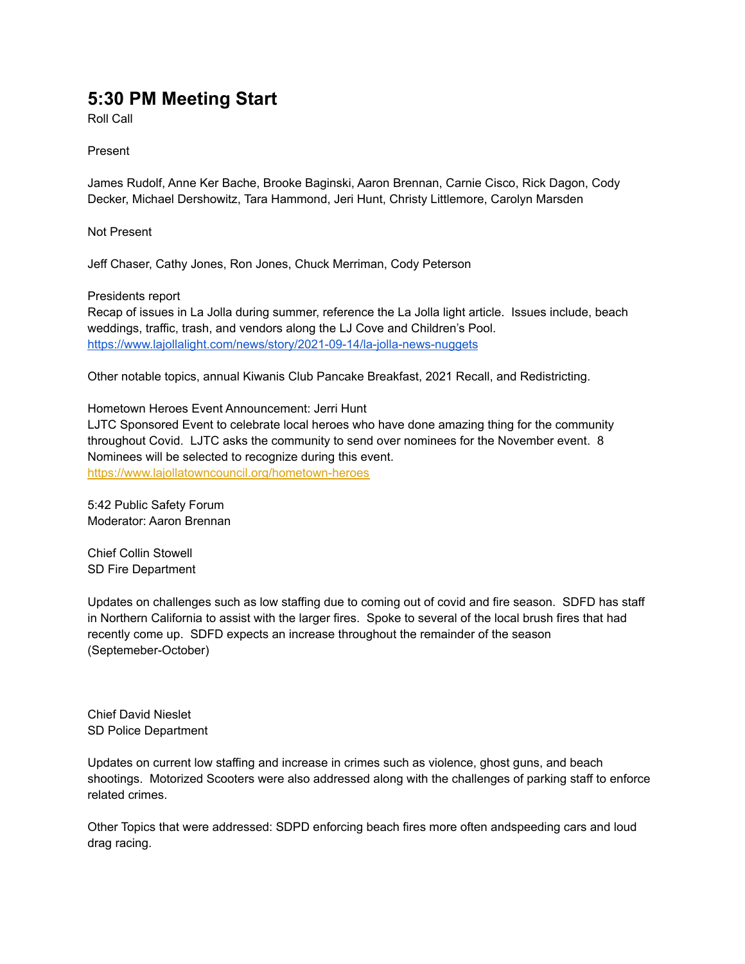## **5:30 PM Meeting Start**

Roll Call

Present

James Rudolf, Anne Ker Bache, Brooke Baginski, Aaron Brennan, Carnie Cisco, Rick Dagon, Cody Decker, Michael Dershowitz, Tara Hammond, Jeri Hunt, Christy Littlemore, Carolyn Marsden

Not Present

Jeff Chaser, Cathy Jones, Ron Jones, Chuck Merriman, Cody Peterson

Presidents report

Recap of issues in La Jolla during summer, reference the La Jolla light article. Issues include, beach weddings, traffic, trash, and vendors along the LJ Cove and Children's Pool. <https://www.lajollalight.com/news/story/2021-09-14/la-jolla-news-nuggets>

Other notable topics, annual Kiwanis Club Pancake Breakfast, 2021 Recall, and Redistricting.

Hometown Heroes Event Announcement: Jerri Hunt

LJTC Sponsored Event to celebrate local heroes who have done amazing thing for the community throughout Covid. LJTC asks the community to send over nominees for the November event. 8 Nominees will be selected to recognize during this event. <https://www.lajollatowncouncil.org/hometown-heroes>

5:42 Public Safety Forum Moderator: Aaron Brennan

Chief Collin Stowell SD Fire Department

Updates on challenges such as low staffing due to coming out of covid and fire season. SDFD has staff in Northern California to assist with the larger fires. Spoke to several of the local brush fires that had recently come up. SDFD expects an increase throughout the remainder of the season (Septemeber-October)

Chief David Nieslet SD Police Department

Updates on current low staffing and increase in crimes such as violence, ghost guns, and beach shootings. Motorized Scooters were also addressed along with the challenges of parking staff to enforce related crimes.

Other Topics that were addressed: SDPD enforcing beach fires more often andspeeding cars and loud drag racing.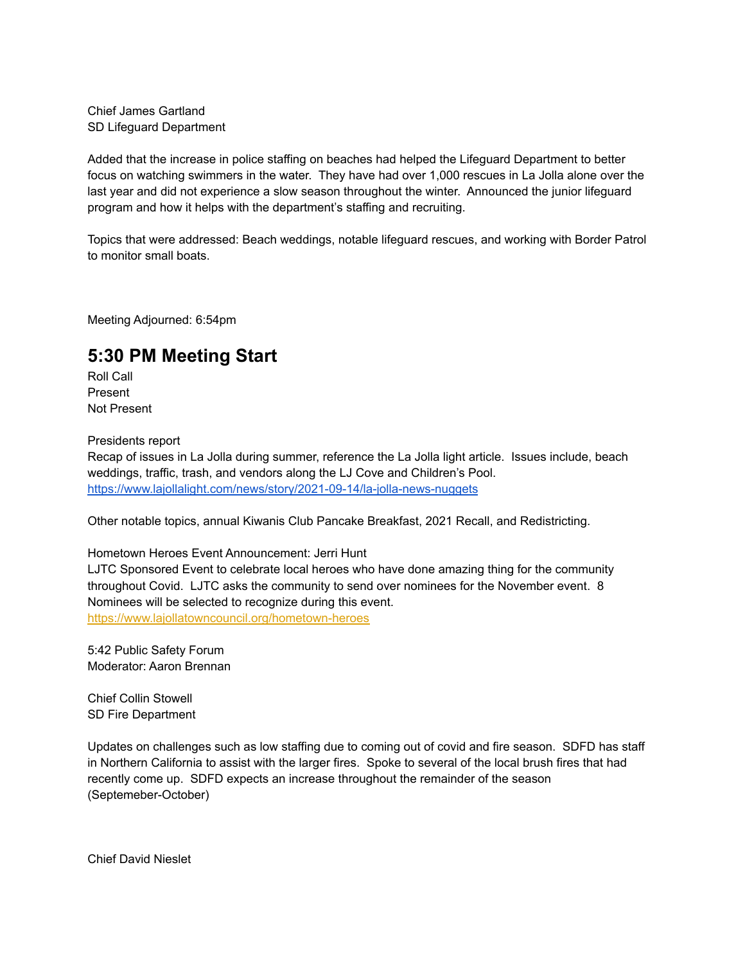Chief James Gartland SD Lifeguard Department

Added that the increase in police staffing on beaches had helped the Lifeguard Department to better focus on watching swimmers in the water. They have had over 1,000 rescues in La Jolla alone over the last year and did not experience a slow season throughout the winter. Announced the junior lifeguard program and how it helps with the department's staffing and recruiting.

Topics that were addressed: Beach weddings, notable lifeguard rescues, and working with Border Patrol to monitor small boats.

Meeting Adjourned: 6:54pm

## **5:30 PM Meeting Start**

Roll Call Present Not Present

Presidents report

Recap of issues in La Jolla during summer, reference the La Jolla light article. Issues include, beach weddings, traffic, trash, and vendors along the LJ Cove and Children's Pool. <https://www.lajollalight.com/news/story/2021-09-14/la-jolla-news-nuggets>

Other notable topics, annual Kiwanis Club Pancake Breakfast, 2021 Recall, and Redistricting.

Hometown Heroes Event Announcement: Jerri Hunt

LJTC Sponsored Event to celebrate local heroes who have done amazing thing for the community throughout Covid. LJTC asks the community to send over nominees for the November event. 8 Nominees will be selected to recognize during this event. <https://www.lajollatowncouncil.org/hometown-heroes>

5:42 Public Safety Forum Moderator: Aaron Brennan

Chief Collin Stowell SD Fire Department

Updates on challenges such as low staffing due to coming out of covid and fire season. SDFD has staff in Northern California to assist with the larger fires. Spoke to several of the local brush fires that had recently come up. SDFD expects an increase throughout the remainder of the season (Septemeber-October)

Chief David Nieslet